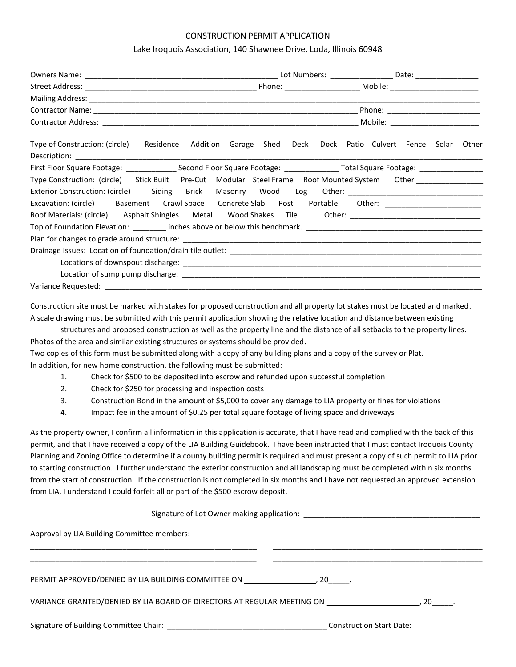## CONSTRUCTION PERMIT APPLICATION

## Lake Iroquois Association, 140 Shawnee Drive, Loda, Illinois 60948

|                                                                                                                |                           | Mobile: ______________________ |             |  |
|----------------------------------------------------------------------------------------------------------------|---------------------------|--------------------------------|-------------|--|
| Type of Construction: (circle) Residence                                                                       | Addition Garage Shed Deck | Dock Patio Culvert Fence       | Solar Other |  |
|                                                                                                                |                           |                                |             |  |
| Type Construction: (circle) Stick Built Pre-Cut Modular Steel Frame Roof Mounted System Other _______________  |                           |                                |             |  |
| Exterior Construction: (circle) Siding Brick Masonry Wood Log Other: _______________________________           |                           |                                |             |  |
| Excavation: (circle) Basement Crawl Space Concrete Slab Post Portable Other: ______________________            |                           |                                |             |  |
| Roof Materials: (circle) Asphalt Shingles Metal Wood Shakes Tile Other: [100] Other: [100] Materials: (circle) |                           |                                |             |  |
|                                                                                                                |                           |                                |             |  |
|                                                                                                                |                           |                                |             |  |
|                                                                                                                |                           |                                |             |  |
|                                                                                                                |                           |                                |             |  |
|                                                                                                                |                           |                                |             |  |
|                                                                                                                |                           |                                |             |  |

Construction site must be marked with stakes for proposed construction and all property lot stakes must be located and marked. A scale drawing must be submitted with this permit application showing the relative location and distance between existing

structures and proposed construction as well as the property line and the distance of all setbacks to the property lines. Photos of the area and similar existing structures or systems should be provided.

Two copies of this form must be submitted along with a copy of any building plans and a copy of the survey or Plat. In addition, for new home construction, the following must be submitted:

- 1. Check for \$500 to be deposited into escrow and refunded upon successful completion
- 2. Check for \$250 for processing and inspection costs
- 3. Construction Bond in the amount of \$5,000 to cover any damage to LIA property or fines for violations
- 4. Impact fee in the amount of \$0.25 per total square footage of living space and driveways

As the property owner, I confirm all information in this application is accurate, that I have read and complied with the back of this permit, and that I have received a copy of the LIA Building Guidebook. I have been instructed that I must contact Iroquois County Planning and Zoning Office to determine if a county building permit is required and must present a copy of such permit to LIA prior to starting construction. I further understand the exterior construction and all landscaping must be completed within six months from the start of construction. If the construction is not completed in six months and I have not requested an approved extension from LIA, I understand I could forfeit all or part of the \$500 escrow deposit.

Signature of Lot Owner making application: \_\_\_\_\_\_\_\_\_\_\_\_\_\_\_\_\_\_\_\_\_\_\_\_\_\_\_\_\_\_\_\_\_\_\_\_\_\_\_\_\_\_

Approval by LIA Building Committee members:

| VARIANCE GRANTED/DENIED BY LIA BOARD OF DIRECTORS AT REGULAR MEETING ON ________ | 20                              |
|----------------------------------------------------------------------------------|---------------------------------|
| Signature of Building Committee Chair: Signature of Building                     | <b>Construction Start Date:</b> |